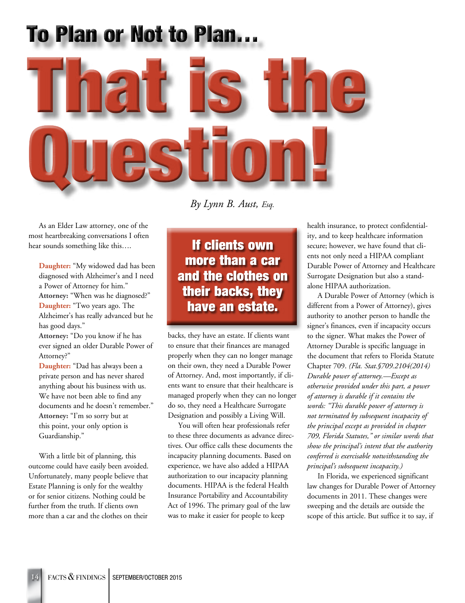# **To Plan or Not to Plan...**



*By Lynn B. Aust, Esq.*

As an Elder Law attorney, one of the most heartbreaking conversations I often hear sounds something like this….

**Daughter:** "My widowed dad has been diagnosed with Alzheimer's and I need a Power of Attorney for him." **Attorney:** "When was he diagnosed?" **Daughter:** "Two years ago. The Alzheimer's has really advanced but he has good days."

**Attorney:** "Do you know if he has ever signed an older Durable Power of Attorney?"

**Daughter:** "Dad has always been a private person and has never shared anything about his business with us. We have not been able to find any documents and he doesn't remember." **Attorney:** "I'm so sorry but at this point, your only option is Guardianship."

With a little bit of planning, this outcome could have easily been avoided. Unfortunately, many people believe that Estate Planning is only for the wealthy or for senior citizens. Nothing could be further from the truth. If clients own more than a car and the clothes on their

If clients own more than a car and the clothes on their backs, they have an estate.

backs, they have an estate. If clients want to ensure that their finances are managed properly when they can no longer manage on their own, they need a Durable Power of Attorney. And, most importantly, if clients want to ensure that their healthcare is managed properly when they can no longer do so, they need a Healthcare Surrogate Designation and possibly a Living Will.

You will often hear professionals refer to these three documents as advance directives. Our office calls these documents the incapacity planning documents. Based on experience, we have also added a HIPAA authorization to our incapacity planning documents. HIPAA is the federal Health Insurance Portability and Accountability Act of 1996. The primary goal of the law was to make it easier for people to keep

health insurance, to protect confidentiality, and to keep healthcare information secure; however, we have found that clients not only need a HIPAA compliant Durable Power of Attorney and Healthcare Surrogate Designation but also a standalone HIPAA authorization.

A Durable Power of Attorney (which is different from a Power of Attorney), gives authority to another person to handle the signer's finances, even if incapacity occurs to the signer. What makes the Power of Attorney Durable is specific language in the document that refers to Florida Statute Chapter 709. *(Fla. Stat.§709.2104(2014) Durable power of attorney.—Except as otherwise provided under this part, a power of attorney is durable if it contains the words: "This durable power of attorney is not terminated by subsequent incapacity of the principal except as provided in chapter 709, Florida Statutes," or similar words that show the principal's intent that the authority conferred is exercisable notwithstanding the principal's subsequent incapacity.)* 

In Florida, we experienced significant law changes for Durable Power of Attorney documents in 2011. These changes were sweeping and the details are outside the scope of this article. But suffice it to say, if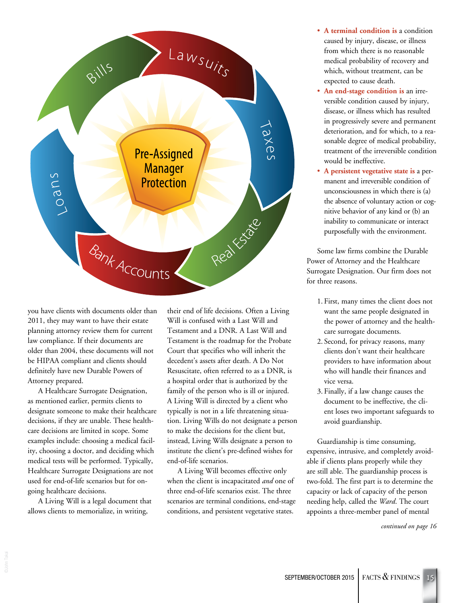

you have clients with documents older than 2011, they may want to have their estate planning attorney review them for current law compliance. If their documents are older than 2004, these documents will not be HIPAA compliant and clients should definitely have new Durable Powers of Attorney prepared.

A Healthcare Surrogate Designation, as mentioned earlier, permits clients to designate someone to make their healthcare decisions, if they are unable. These healthcare decisions are limited in scope. Some examples include: choosing a medical facility, choosing a doctor, and deciding which medical tests will be performed. Typically, Healthcare Surrogate Designations are not used for end-of-life scenarios but for ongoing healthcare decisions.

A Living Will is a legal document that allows clients to memorialize, in writing,

their end of life decisions. Often a Living Will is confused with a Last Will and Testament and a DNR. A Last Will and Testament is the roadmap for the Probate Court that specifies who will inherit the decedent's assets after death. A Do Not Resuscitate, often referred to as a DNR, is a hospital order that is authorized by the family of the person who is ill or injured. A Living Will is directed by a client who typically is not in a life threatening situation. Living Wills do not designate a person to make the decisions for the client but, instead, Living Wills designate a person to institute the client's pre-defined wishes for end-of-life scenarios.

A Living Will becomes effective only when the client is incapacitated *and* one of three end-of-life scenarios exist. The three scenarios are terminal conditions, end-stage conditions, and persistent vegetative states.

- **A terminal condition is** a condition caused by injury, disease, or illness from which there is no reasonable medical probability of recovery and which, without treatment, can be expected to cause death.
- **An end-stage condition is** an irreversible condition caused by injury, disease, or illness which has resulted in progressively severe and permanent deterioration, and for which, to a reasonable degree of medical probability, treatment of the irreversible condition would be ineffective.
- **A persistent vegetative state is** a permanent and irreversible condition of unconsciousness in which there is (a) the absence of voluntary action or cognitive behavior of any kind or (b) an inability to communicate or interact purposefully with the environment.

Some law firms combine the Durable Power of Attorney and the Healthcare Surrogate Designation. Our firm does not for three reasons.

- 1. First, many times the client does not want the same people designated in the power of attorney and the healthcare surrogate documents.
- 2. Second, for privacy reasons, many clients don't want their healthcare providers to have information about who will handle their finances and vice versa.
- 3. Finally, if a law change causes the document to be ineffective, the client loses two important safeguards to avoid guardianship.

Guardianship is time consuming, expensive, intrusive, and completely avoidable if clients plans properly while they are still able. The guardianship process is two-fold. The first part is to determine the capacity or lack of capacity of the person needing help, called the *Ward*. The court appoints a three-member panel of mental

*continued on page 16*